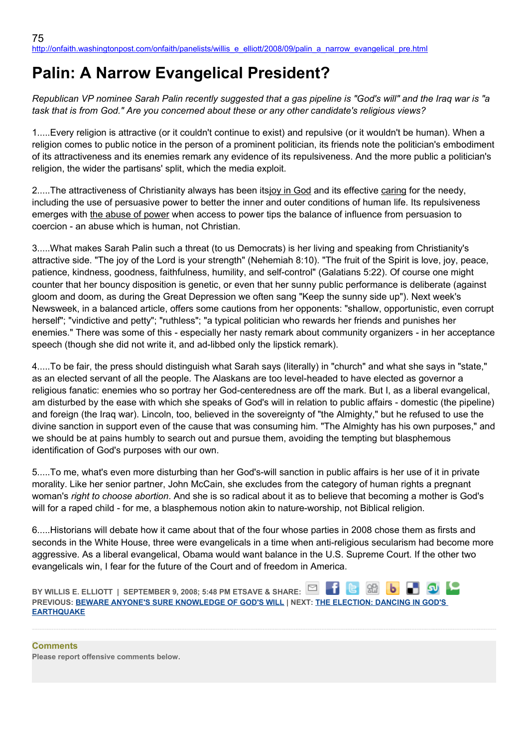## **Palin: A Narrow Evangelical President?**

*Republican VP nominee Sarah Palin recently suggested that a gas pipeline is "God's will" and the Iraq war is "a task that is from God." Are you concerned about these or any other candidate's religious views?*

1.....Every religion is attractive (or it couldn't continue to exist) and repulsive (or it wouldn't be human). When a religion comes to public notice in the person of a prominent politician, its friends note the politician's embodiment of its attractiveness and its enemies remark any evidence of its repulsiveness. And the more public a politician's religion, the wider the partisans' split, which the media exploit.

2.....The attractiveness of Christianity always has been itsjoy in God and its effective caring for the needy, including the use of persuasive power to better the inner and outer conditions of human life. Its repulsiveness emerges with the abuse of power when access to power tips the balance of influence from persuasion to coercion - an abuse which is human, not Christian.

3.....What makes Sarah Palin such a threat (to us Democrats) is her living and speaking from Christianity's attractive side. "The joy of the Lord is your strength" (Nehemiah 8:10). "The fruit of the Spirit is love, joy, peace, patience, kindness, goodness, faithfulness, humility, and self-control" (Galatians 5:22). Of course one might counter that her bouncy disposition is genetic, or even that her sunny public performance is deliberate (against gloom and doom, as during the Great Depression we often sang "Keep the sunny side up"). Next week's Newsweek, in a balanced article, offers some cautions from her opponents: "shallow, opportunistic, even corrupt herself"; "vindictive and petty"; "ruthless"; "a typical politician who rewards her friends and punishes her enemies." There was some of this - especially her nasty remark about community organizers - in her acceptance speech (though she did not write it, and ad-libbed only the lipstick remark).

4.....To be fair, the press should distinguish what Sarah says (literally) in "church" and what she says in "state," as an elected servant of all the people. The Alaskans are too level-headed to have elected as governor a religious fanatic: enemies who so portray her God-centeredness are off the mark. But I, as a liberal evangelical, am disturbed by the ease with which she speaks of God's will in relation to public affairs - domestic (the pipeline) and foreign (the Iraq war). Lincoln, too, believed in the sovereignty of "the Almighty," but he refused to use the divine sanction in support even of the cause that was consuming him. "The Almighty has his own purposes," and we should be at pains humbly to search out and pursue them, avoiding the tempting but blasphemous identification of God's purposes with our own.

5.....To me, what's even more disturbing than her God's-will sanction in public affairs is her use of it in private morality. Like her senior partner, John McCain, she excludes from the category of human rights a pregnant woman's *right to choose abortion*. And she is so radical about it as to believe that becoming a mother is God's will for a raped child - for me, a blasphemous notion akin to nature-worship, not Biblical religion.

6.....Historians will debate how it came about that of the four whose parties in 2008 chose them as firsts and seconds in the White House, three were evangelicals in a time when anti-religious secularism had become more aggressive. As a liberal evangelical, Obama would want balance in the U.S. Supreme Court. If the other two evangelicals win, I fear for the future of the Court and of freedom in America.

**BY WILLIS E. ELLIOTT | SEPTEMBER 9, 2008; 5:48 PM ETSAVE & SHARE:** 6 88  $\overline{b}$ **PREVIOUS: [BEWARE ANYONE'S SURE KNOWLEDGE OF GOD'S WILL](http://onfaith.washingtonpost.com/onfaith/panelists/martin_marty/2008/09/dont_trust_anyones_sure_knowle.html) | NEXT: [THE ELECTION: DANCING IN GOD'S](http://onfaith.washingtonpost.com/onfaith/panelists/arthur_waskow/2008/09/the_election_dancing_in_gods_e.html)  [EARTHQUAKE](http://onfaith.washingtonpost.com/onfaith/panelists/arthur_waskow/2008/09/the_election_dancing_in_gods_e.html)**

**Comments Please report offensive comments below.**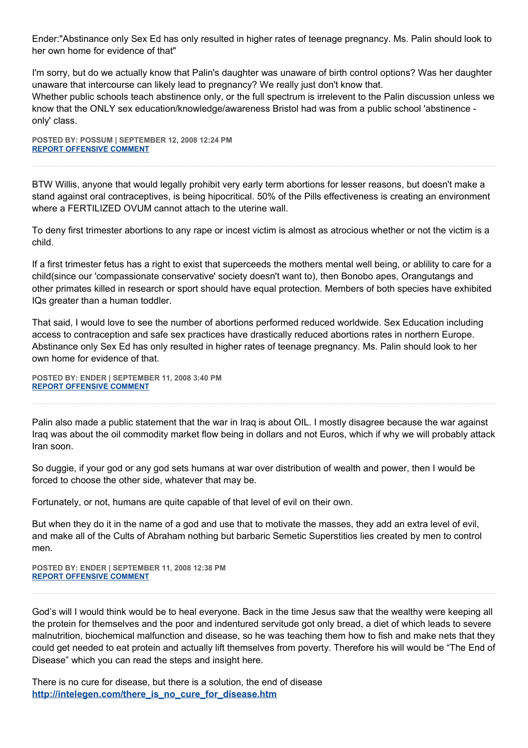Ender:"Abstinance only Sex Ed has only resulted in higher rates of teenage pregnancy. Ms. Palin should look to her own home for evidence of that"

I'm sorry, but do we actually know that Palin's daughter was unaware of birth control options? Was her daughter unaware that intercourse can likely lead to pregnancy? We really just don't know that. Whether public schools teach abstinence only, or the full spectrum is irrelevent to the Palin discussion unless we know that the ONLY sex education/knowledge/awareness Bristol had was from a public school 'abstinence only' class.

**POSTED BY: POSSUM | SEPTEMBER 12, 2008 12:24 PM [REPORT OFFENSIVE COMMENT](mailto:blogs@washingtonpost.com?subject=On%20Faith%20Panelists%20Blog%20%20%7C%20%20Possum%20%20%7C%20%20Palin:%20%20A%20Narrow%20Evangelical%20President?%20%20%7C%20%204533143&body=%0D%0D%0D%0D%0D================%0D?__mode=view%26_type=comment%26id=4533143%26blog_id=618)**

BTW Willis, anyone that would legally prohibit very early term abortions for lesser reasons, but doesn't make a stand against oral contraceptives, is being hipocritical. 50% of the Pills effectiveness is creating an environment where a FERTILIZED OVUM cannot attach to the uterine wall.

To deny first trimester abortions to any rape or incest victim is almost as atrocious whether or not the victim is a child.

If a first trimester fetus has a right to exist that superceeds the mothers mental well being, or ablility to care for a child(since our 'compassionate conservative' society doesn't want to), then Bonobo apes, Orangutangs and other primates killed in research or sport should have equal protection. Members of both species have exhibited IQs greater than a human toddler.

That said, I would love to see the number of abortions performed reduced worldwide. Sex Education including access to contraception and safe sex practices have drastically reduced abortions rates in northern Europe. Abstinance only Sex Ed has only resulted in higher rates of teenage pregnancy. Ms. Palin should look to her own home for evidence of that.

**POSTED BY: ENDER | SEPTEMBER 11, 2008 3:40 PM [REPORT OFFENSIVE COMMENT](mailto:blogs@washingtonpost.com?subject=On%20Faith%20Panelists%20Blog%20%20%7C%20%20ender%20%20%7C%20%20Palin:%20%20A%20Narrow%20Evangelical%20President?%20%20%7C%20%204532030&body=%0D%0D%0D%0D%0D================%0D?__mode=view%26_type=comment%26id=4532030%26blog_id=618)**

Palin also made a public statement that the war in Iraq is about OIL. I mostly disagree because the war against Iraq was about the oil commodity market flow being in dollars and not Euros, which if why we will probably attack Iran soon.

So duggie, if your god or any god sets humans at war over distribution of wealth and power, then I would be forced to choose the other side, whatever that may be.

Fortunately, or not, humans are quite capable of that level of evil on their own.

But when they do it in the name of a god and use that to motivate the masses, they add an extra level of evil, and make all of the Cults of Abraham nothing but barbaric Semetic Superstitios lies created by men to control men.

**POSTED BY: ENDER | SEPTEMBER 11, 2008 12:38 PM [REPORT OFFENSIVE COMMENT](mailto:blogs@washingtonpost.com?subject=On%20Faith%20Panelists%20Blog%20%20%7C%20%20ender%20%20%7C%20%20Palin:%20%20A%20Narrow%20Evangelical%20President?%20%20%7C%20%204531801&body=%0D%0D%0D%0D%0D================%0D?__mode=view%26_type=comment%26id=4531801%26blog_id=618)**

God's will I would think would be to heal everyone. Back in the time Jesus saw that the wealthy were keeping all the protein for themselves and the poor and indentured servitude got only bread, a diet of which leads to severe malnutrition, biochemical malfunction and disease, so he was teaching them how to fish and make nets that they could get needed to eat protein and actually lift themselves from poverty. Therefore his will would be "The End of Disease" which you can read the steps and insight here.

There is no cure for disease, but there is a solution, the end of disease **[http://intelegen.com/there\\_is\\_no\\_cure\\_for\\_disease.htm](http://intelegen.com/there_is_no_cure_for_disease.htm)**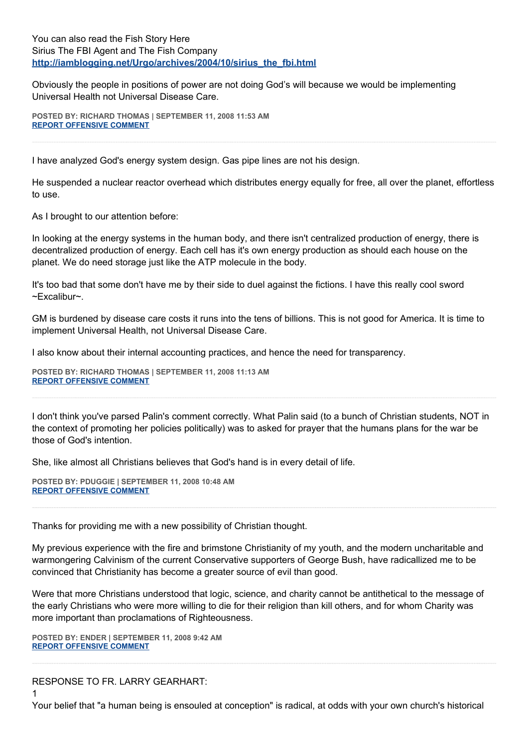You can also read the Fish Story Here Sirius The FBI Agent and The Fish Company **[http://iamblogging.net/Urgo/archives/2004/10/sirius\\_the\\_fbi.html](http://iamblogging.net/Urgo/archives/2004/10/sirius_the_fbi.html)**

Obviously the people in positions of power are not doing God's will because we would be implementing Universal Health not Universal Disease Care.

**POSTED BY: RICHARD THOMAS | SEPTEMBER 11, 2008 11:53 AM [REPORT OFFENSIVE COMMENT](mailto:blogs@washingtonpost.com?subject=On%20Faith%20Panelists%20Blog%20%20%7C%20%20Richard%20Thomas%20%20%7C%20%20Palin:%20%20A%20Narrow%20Evangelical%20President?%20%20%7C%20%204531717&body=%0D%0D%0D%0D%0D================%0D?__mode=view%26_type=comment%26id=4531717%26blog_id=618)**

I have analyzed God's energy system design. Gas pipe lines are not his design.

He suspended a nuclear reactor overhead which distributes energy equally for free, all over the planet, effortless to use.

As I brought to our attention before:

In looking at the energy systems in the human body, and there isn't centralized production of energy, there is decentralized production of energy. Each cell has it's own energy production as should each house on the planet. We do need storage just like the ATP molecule in the body.

It's too bad that some don't have me by their side to duel against the fictions. I have this really cool sword ~Excalibur~.

GM is burdened by disease care costs it runs into the tens of billions. This is not good for America. It is time to implement Universal Health, not Universal Disease Care.

I also know about their internal accounting practices, and hence the need for transparency.

**POSTED BY: RICHARD THOMAS | SEPTEMBER 11, 2008 11:13 AM [REPORT OFFENSIVE COMMENT](mailto:blogs@washingtonpost.com?subject=On%20Faith%20Panelists%20Blog%20%20%7C%20%20Richard%20Thomas%20%20%7C%20%20Palin:%20%20A%20Narrow%20Evangelical%20President?%20%20%7C%20%204531617&body=%0D%0D%0D%0D%0D================%0D?__mode=view%26_type=comment%26id=4531617%26blog_id=618)**

I don't think you've parsed Palin's comment correctly. What Palin said (to a bunch of Christian students, NOT in the context of promoting her policies politically) was to asked for prayer that the humans plans for the war be those of God's intention.

She, like almost all Christians believes that God's hand is in every detail of life.

**POSTED BY: PDUGGIE | SEPTEMBER 11, 2008 10:48 AM [REPORT OFFENSIVE COMMENT](mailto:blogs@washingtonpost.com?subject=On%20Faith%20Panelists%20Blog%20%20%7C%20%20pduggie%20%20%7C%20%20Palin:%20%20A%20Narrow%20Evangelical%20President?%20%20%7C%20%204531562&body=%0D%0D%0D%0D%0D================%0D?__mode=view%26_type=comment%26id=4531562%26blog_id=618)**

Thanks for providing me with a new possibility of Christian thought.

My previous experience with the fire and brimstone Christianity of my youth, and the modern uncharitable and warmongering Calvinism of the current Conservative supporters of George Bush, have radicallized me to be convinced that Christianity has become a greater source of evil than good.

Were that more Christians understood that logic, science, and charity cannot be antithetical to the message of the early Christians who were more willing to die for their religion than kill others, and for whom Charity was more important than proclamations of Righteousness.

**POSTED BY: ENDER | SEPTEMBER 11, 2008 9:42 AM [REPORT OFFENSIVE COMMENT](mailto:blogs@washingtonpost.com?subject=On%20Faith%20Panelists%20Blog%20%20%7C%20%20ender%20%20%7C%20%20Palin:%20%20A%20Narrow%20Evangelical%20President?%20%20%7C%20%204531381&body=%0D%0D%0D%0D%0D================%0D?__mode=view%26_type=comment%26id=4531381%26blog_id=618)**

RESPONSE TO FR. LARRY GEARHART:

1

Your belief that "a human being is ensouled at conception" is radical, at odds with your own church's historical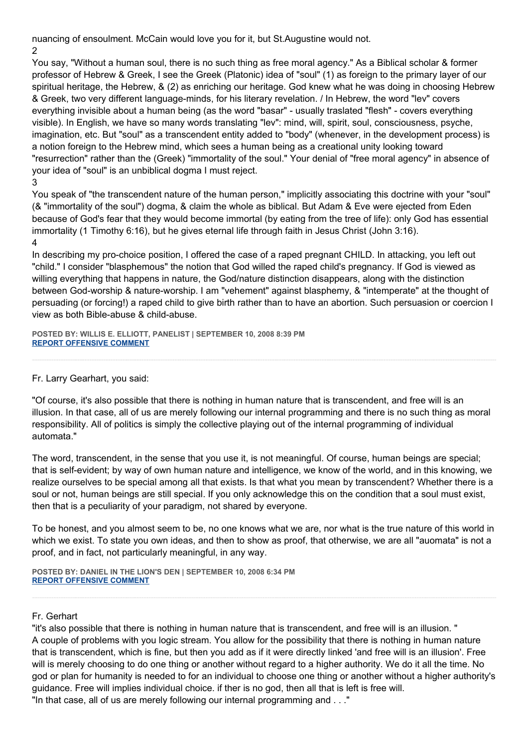nuancing of ensoulment. McCain would love you for it, but St.Augustine would not.

2

You say, "Without a human soul, there is no such thing as free moral agency." As a Biblical scholar & former professor of Hebrew & Greek, I see the Greek (Platonic) idea of "soul" (1) as foreign to the primary layer of our spiritual heritage, the Hebrew, & (2) as enriching our heritage. God knew what he was doing in choosing Hebrew & Greek, two very different language-minds, for his literary revelation. / In Hebrew, the word "lev" covers everything invisible about a human being (as the word "basar" - usually traslated "flesh" - covers everything visible). In English, we have so many words translating "lev": mind, will, spirit, soul, consciousness, psyche, imagination, etc. But "soul" as a transcendent entity added to "body" (whenever, in the development process) is a notion foreign to the Hebrew mind, which sees a human being as a creational unity looking toward "resurrection" rather than the (Greek) "immortality of the soul." Your denial of "free moral agency" in absence of your idea of "soul" is an unbiblical dogma I must reject.

3

You speak of "the transcendent nature of the human person," implicitly associating this doctrine with your "soul" (& "immortality of the soul") dogma, & claim the whole as biblical. But Adam & Eve were ejected from Eden because of God's fear that they would become immortal (by eating from the tree of life): only God has essential immortality (1 Timothy 6:16), but he gives eternal life through faith in Jesus Christ (John 3:16). 4

In describing my pro-choice position, I offered the case of a raped pregnant CHILD. In attacking, you left out "child." I consider "blasphemous" the notion that God willed the raped child's pregnancy. If God is viewed as willing everything that happens in nature, the God/nature distinction disappears, along with the distinction between God-worship & nature-worship. I am "vehement" against blasphemy, & "intemperate" at the thought of persuading (or forcing!) a raped child to give birth rather than to have an abortion. Such persuasion or coercion I view as both Bible-abuse & child-abuse.

**POSTED BY: WILLIS E. ELLIOTT, PANELIST | SEPTEMBER 10, 2008 8:39 PM [REPORT OFFENSIVE COMMENT](mailto:blogs@washingtonpost.com?subject=On%20Faith%20Panelists%20Blog%20%20%7C%20%20Willis%20E.%20Elliott,%20panelist%20%20%7C%20%20Palin:%20%20A%20Narrow%20Evangelical%20President?%20%20%7C%20%204530700&body=%0D%0D%0D%0D%0D================%0D?__mode=view%26_type=comment%26id=4530700%26blog_id=618)**

Fr. Larry Gearhart, you said:

"Of course, it's also possible that there is nothing in human nature that is transcendent, and free will is an illusion. In that case, all of us are merely following our internal programming and there is no such thing as moral responsibility. All of politics is simply the collective playing out of the internal programming of individual automata."

The word, transcendent, in the sense that you use it, is not meaningful. Of course, human beings are special; that is self-evident; by way of own human nature and intelligence, we know of the world, and in this knowing, we realize ourselves to be special among all that exists. Is that what you mean by transcendent? Whether there is a soul or not, human beings are still special. If you only acknowledge this on the condition that a soul must exist, then that is a peculiarity of your paradigm, not shared by everyone.

To be honest, and you almost seem to be, no one knows what we are, nor what is the true nature of this world in which we exist. To state you own ideas, and then to show as proof, that otherwise, we are all "auomata" is not a proof, and in fact, not particularly meaningful, in any way.

**POSTED BY: DANIEL IN THE LION'S DEN | SEPTEMBER 10, 2008 6:34 PM [REPORT OFFENSIVE COMMENT](mailto:blogs@washingtonpost.com?subject=On%20Faith%20Panelists%20Blog%20%20%7C%20%20Daniel%20in%20the%20Lion)**

## Fr. Gerhart

"it's also possible that there is nothing in human nature that is transcendent, and free will is an illusion. " A couple of problems with you logic stream. You allow for the possibility that there is nothing in human nature that is transcendent, which is fine, but then you add as if it were directly linked 'and free will is an illusion'. Free will is merely choosing to do one thing or another without regard to a higher authority. We do it all the time. No god or plan for humanity is needed to for an individual to choose one thing or another without a higher authority's guidance. Free will implies individual choice. if ther is no god, then all that is left is free will. "In that case, all of us are merely following our internal programming and . . ."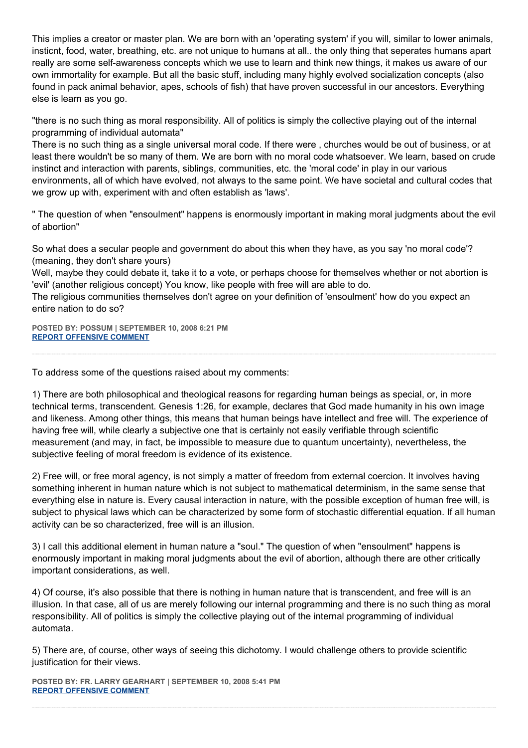This implies a creator or master plan. We are born with an 'operating system' if you will, similar to lower animals, insticnt, food, water, breathing, etc. are not unique to humans at all.. the only thing that seperates humans apart really are some self-awareness concepts which we use to learn and think new things, it makes us aware of our own immortality for example. But all the basic stuff, including many highly evolved socialization concepts (also found in pack animal behavior, apes, schools of fish) that have proven successful in our ancestors. Everything else is learn as you go.

"there is no such thing as moral responsibility. All of politics is simply the collective playing out of the internal programming of individual automata"

There is no such thing as a single universal moral code. If there were , churches would be out of business, or at least there wouldn't be so many of them. We are born with no moral code whatsoever. We learn, based on crude instinct and interaction with parents, siblings, communities, etc. the 'moral code' in play in our various environments, all of which have evolved, not always to the same point. We have societal and cultural codes that we grow up with, experiment with and often establish as 'laws'.

" The question of when "ensoulment" happens is enormously important in making moral judgments about the evil of abortion"

So what does a secular people and government do about this when they have, as you say 'no moral code'? (meaning, they don't share yours)

Well, maybe they could debate it, take it to a vote, or perhaps choose for themselves whether or not abortion is 'evil' (another religious concept) You know, like people with free will are able to do.

The religious communities themselves don't agree on your definition of 'ensoulment' how do you expect an entire nation to do so?

**POSTED BY: POSSUM | SEPTEMBER 10, 2008 6:21 PM [REPORT OFFENSIVE COMMENT](mailto:blogs@washingtonpost.com?subject=On%20Faith%20Panelists%20Blog%20%20%7C%20%20Possum%20%20%7C%20%20Palin:%20%20A%20Narrow%20Evangelical%20President?%20%20%7C%20%204530592&body=%0D%0D%0D%0D%0D================%0D?__mode=view%26_type=comment%26id=4530592%26blog_id=618)**

To address some of the questions raised about my comments:

1) There are both philosophical and theological reasons for regarding human beings as special, or, in more technical terms, transcendent. Genesis 1:26, for example, declares that God made humanity in his own image and likeness. Among other things, this means that human beings have intellect and free will. The experience of having free will, while clearly a subjective one that is certainly not easily verifiable through scientific measurement (and may, in fact, be impossible to measure due to quantum uncertainty), nevertheless, the subjective feeling of moral freedom is evidence of its existence.

2) Free will, or free moral agency, is not simply a matter of freedom from external coercion. It involves having something inherent in human nature which is not subject to mathematical determinism, in the same sense that everything else in nature is. Every causal interaction in nature, with the possible exception of human free will, is subject to physical laws which can be characterized by some form of stochastic differential equation. If all human activity can be so characterized, free will is an illusion.

3) I call this additional element in human nature a "soul." The question of when "ensoulment" happens is enormously important in making moral judgments about the evil of abortion, although there are other critically important considerations, as well.

4) Of course, it's also possible that there is nothing in human nature that is transcendent, and free will is an illusion. In that case, all of us are merely following our internal programming and there is no such thing as moral responsibility. All of politics is simply the collective playing out of the internal programming of individual automata.

5) There are, of course, other ways of seeing this dichotomy. I would challenge others to provide scientific justification for their views.

**POSTED BY: FR. LARRY GEARHART | SEPTEMBER 10, 2008 5:41 PM [REPORT OFFENSIVE COMMENT](mailto:blogs@washingtonpost.com?subject=On%20Faith%20Panelists%20Blog%20%20%7C%20%20Fr.%20Larry%20Gearhart%20%20%7C%20%20Palin:%20%20A%20Narrow%20Evangelical%20President?%20%20%7C%20%204530572&body=%0D%0D%0D%0D%0D================%0D?__mode=view%26_type=comment%26id=4530572%26blog_id=618)**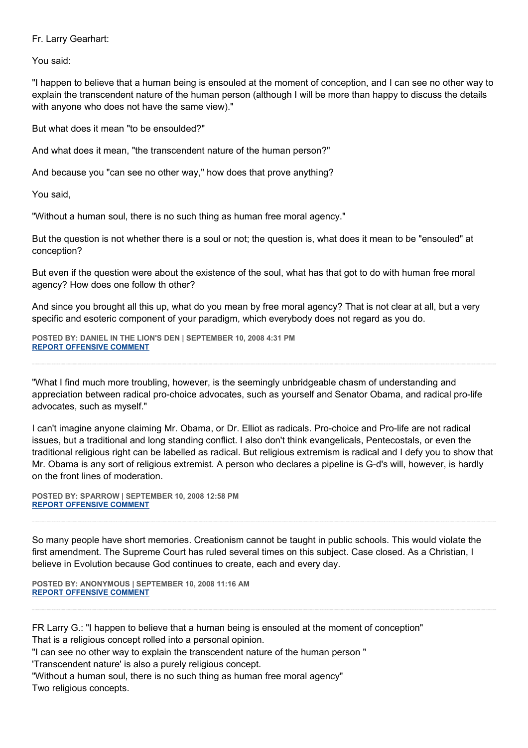Fr. Larry Gearhart:

You said:

"I happen to believe that a human being is ensouled at the moment of conception, and I can see no other way to explain the transcendent nature of the human person (although I will be more than happy to discuss the details with anyone who does not have the same view)."

But what does it mean "to be ensoulded?"

And what does it mean, "the transcendent nature of the human person?"

And because you "can see no other way," how does that prove anything?

You said,

"Without a human soul, there is no such thing as human free moral agency."

But the question is not whether there is a soul or not; the question is, what does it mean to be "ensouled" at conception?

But even if the question were about the existence of the soul, what has that got to do with human free moral agency? How does one follow th other?

And since you brought all this up, what do you mean by free moral agency? That is not clear at all, but a very specific and esoteric component of your paradigm, which everybody does not regard as you do.

**POSTED BY: DANIEL IN THE LION'S DEN | SEPTEMBER 10, 2008 4:31 PM [REPORT OFFENSIVE COMMENT](mailto:blogs@washingtonpost.com?subject=On%20Faith%20Panelists%20Blog%20%20%7C%20%20Daniel%20in%20the%20Lion)**

"What I find much more troubling, however, is the seemingly unbridgeable chasm of understanding and appreciation between radical pro-choice advocates, such as yourself and Senator Obama, and radical pro-life advocates, such as myself."

I can't imagine anyone claiming Mr. Obama, or Dr. Elliot as radicals. Pro-choice and Pro-life are not radical issues, but a traditional and long standing conflict. I also don't think evangelicals, Pentecostals, or even the traditional religious right can be labelled as radical. But religious extremism is radical and I defy you to show that Mr. Obama is any sort of religious extremist. A person who declares a pipeline is G-d's will, however, is hardly on the front lines of moderation.

**POSTED BY: SPARROW | SEPTEMBER 10, 2008 12:58 PM [REPORT OFFENSIVE COMMENT](mailto:blogs@washingtonpost.com?subject=On%20Faith%20Panelists%20Blog%20%20%7C%20%20sparrow%20%20%7C%20%20Palin:%20%20A%20Narrow%20Evangelical%20President?%20%20%7C%20%204530299&body=%0D%0D%0D%0D%0D================%0D?__mode=view%26_type=comment%26id=4530299%26blog_id=618)**

So many people have short memories. Creationism cannot be taught in public schools. This would violate the first amendment. The Supreme Court has ruled several times on this subject. Case closed. As a Christian, I believe in Evolution because God continues to create, each and every day.

**POSTED BY: ANONYMOUS | SEPTEMBER 10, 2008 11:16 AM [REPORT OFFENSIVE COMMENT](mailto:blogs@washingtonpost.com?subject=On%20Faith%20Panelists%20Blog%20%20%7C%20%20Anonymous%20%20%7C%20%20Palin:%20%20A%20Narrow%20Evangelical%20President?%20%20%7C%20%204530190&body=%0D%0D%0D%0D%0D================%0D?__mode=view%26_type=comment%26id=4530190%26blog_id=618)**

FR Larry G.: "I happen to believe that a human being is ensouled at the moment of conception" That is a religious concept rolled into a personal opinion.

"I can see no other way to explain the transcendent nature of the human person "

'Transcendent nature' is also a purely religious concept.

"Without a human soul, there is no such thing as human free moral agency"

Two religious concepts.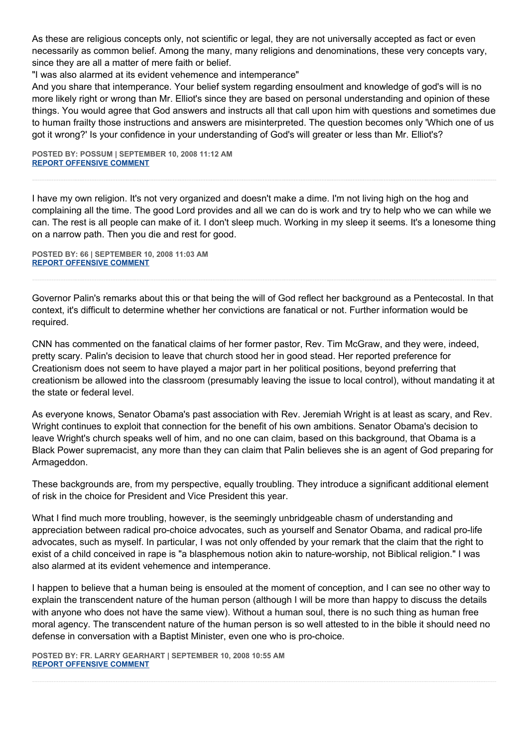As these are religious concepts only, not scientific or legal, they are not universally accepted as fact or even necessarily as common belief. Among the many, many religions and denominations, these very concepts vary, since they are all a matter of mere faith or belief.

"I was also alarmed at its evident vehemence and intemperance"

And you share that intemperance. Your belief system regarding ensoulment and knowledge of god's will is no more likely right or wrong than Mr. Elliot's since they are based on personal understanding and opinion of these things. You would agree that God answers and instructs all that call upon him with questions and sometimes due to human frailty those instructions and answers are misinterpreted. The question becomes only 'Which one of us got it wrong?' Is your confidence in your understanding of God's will greater or less than Mr. Elliot's?

**POSTED BY: POSSUM | SEPTEMBER 10, 2008 11:12 AM [REPORT OFFENSIVE COMMENT](mailto:blogs@washingtonpost.com?subject=On%20Faith%20Panelists%20Blog%20%20%7C%20%20Possum%20%20%7C%20%20Palin:%20%20A%20Narrow%20Evangelical%20President?%20%20%7C%20%204530186&body=%0D%0D%0D%0D%0D================%0D?__mode=view%26_type=comment%26id=4530186%26blog_id=618)**

I have my own religion. It's not very organized and doesn't make a dime. I'm not living high on the hog and complaining all the time. The good Lord provides and all we can do is work and try to help who we can while we can. The rest is all people can make of it. I don't sleep much. Working in my sleep it seems. It's a lonesome thing on a narrow path. Then you die and rest for good.

**POSTED BY: 66 | SEPTEMBER 10, 2008 11:03 AM [REPORT OFFENSIVE COMMENT](mailto:blogs@washingtonpost.com?subject=On%20Faith%20Panelists%20Blog%20%20%7C%20%2066%20%20%7C%20%20Palin:%20%20A%20Narrow%20Evangelical%20President?%20%20%7C%20%204530173&body=%0D%0D%0D%0D%0D================%0D?__mode=view%26_type=comment%26id=4530173%26blog_id=618)**

Governor Palin's remarks about this or that being the will of God reflect her background as a Pentecostal. In that context, it's difficult to determine whether her convictions are fanatical or not. Further information would be required.

CNN has commented on the fanatical claims of her former pastor, Rev. Tim McGraw, and they were, indeed, pretty scary. Palin's decision to leave that church stood her in good stead. Her reported preference for Creationism does not seem to have played a major part in her political positions, beyond preferring that creationism be allowed into the classroom (presumably leaving the issue to local control), without mandating it at the state or federal level.

As everyone knows, Senator Obama's past association with Rev. Jeremiah Wright is at least as scary, and Rev. Wright continues to exploit that connection for the benefit of his own ambitions. Senator Obama's decision to leave Wright's church speaks well of him, and no one can claim, based on this background, that Obama is a Black Power supremacist, any more than they can claim that Palin believes she is an agent of God preparing for Armageddon.

These backgrounds are, from my perspective, equally troubling. They introduce a significant additional element of risk in the choice for President and Vice President this year.

What I find much more troubling, however, is the seemingly unbridgeable chasm of understanding and appreciation between radical pro-choice advocates, such as yourself and Senator Obama, and radical pro-life advocates, such as myself. In particular, I was not only offended by your remark that the claim that the right to exist of a child conceived in rape is "a blasphemous notion akin to nature-worship, not Biblical religion." I was also alarmed at its evident vehemence and intemperance.

I happen to believe that a human being is ensouled at the moment of conception, and I can see no other way to explain the transcendent nature of the human person (although I will be more than happy to discuss the details with anyone who does not have the same view). Without a human soul, there is no such thing as human free moral agency. The transcendent nature of the human person is so well attested to in the bible it should need no defense in conversation with a Baptist Minister, even one who is pro-choice.

**POSTED BY: FR. LARRY GEARHART | SEPTEMBER 10, 2008 10:55 AM [REPORT OFFENSIVE COMMENT](mailto:blogs@washingtonpost.com?subject=On%20Faith%20Panelists%20Blog%20%20%7C%20%20Fr.%20Larry%20Gearhart%20%20%7C%20%20Palin:%20%20A%20Narrow%20Evangelical%20President?%20%20%7C%20%204530162&body=%0D%0D%0D%0D%0D================%0D?__mode=view%26_type=comment%26id=4530162%26blog_id=618)**